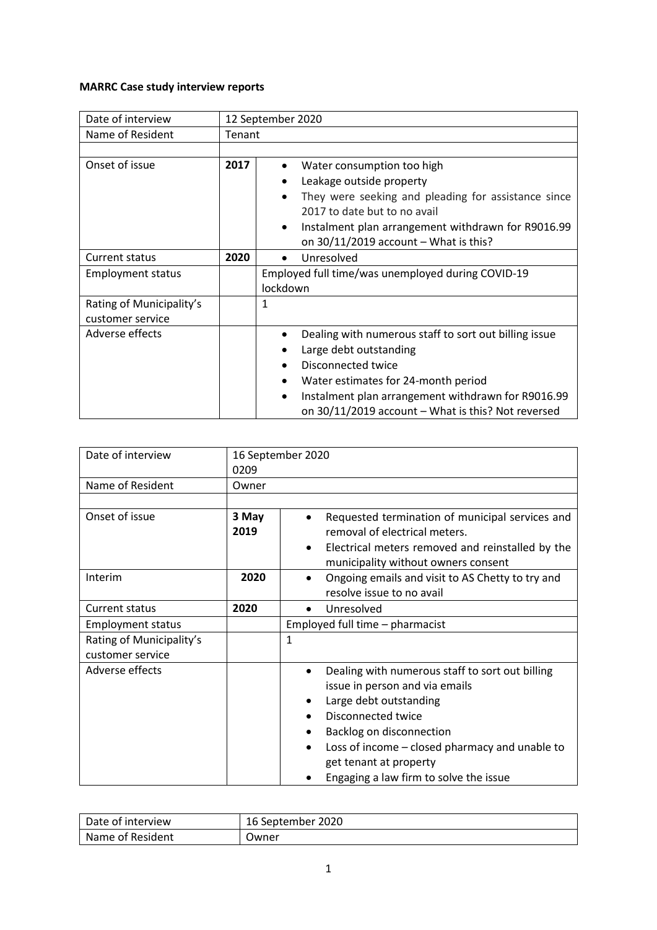## **MARRC Case study interview reports**

| Date of interview                            |        | 12 September 2020                                                                                                                                                                                                                                                                                    |
|----------------------------------------------|--------|------------------------------------------------------------------------------------------------------------------------------------------------------------------------------------------------------------------------------------------------------------------------------------------------------|
| Name of Resident                             | Tenant |                                                                                                                                                                                                                                                                                                      |
|                                              |        |                                                                                                                                                                                                                                                                                                      |
| Onset of issue                               | 2017   | Water consumption too high<br>Leakage outside property<br>They were seeking and pleading for assistance since<br>2017 to date but to no avail<br>Instalment plan arrangement withdrawn for R9016.99<br>$\bullet$<br>on $30/11/2019$ account - What is this?                                          |
| <b>Current status</b>                        | 2020   | Unresolved                                                                                                                                                                                                                                                                                           |
| <b>Employment status</b>                     |        | Employed full time/was unemployed during COVID-19<br>lockdown                                                                                                                                                                                                                                        |
| Rating of Municipality's<br>customer service |        | 1                                                                                                                                                                                                                                                                                                    |
| Adverse effects                              |        | Dealing with numerous staff to sort out billing issue<br>Large debt outstanding<br>$\bullet$<br>Disconnected twice<br>$\bullet$<br>Water estimates for 24-month period<br>$\bullet$<br>Instalment plan arrangement withdrawn for R9016.99<br>٠<br>on 30/11/2019 account - What is this? Not reversed |

| Date of interview        |       | 16 September 2020                                             |
|--------------------------|-------|---------------------------------------------------------------|
|                          | 0209  |                                                               |
| Name of Resident         | Owner |                                                               |
|                          |       |                                                               |
| Onset of issue           | 3 May | Requested termination of municipal services and               |
|                          | 2019  | removal of electrical meters.                                 |
|                          |       | Electrical meters removed and reinstalled by the<br>$\bullet$ |
|                          |       | municipality without owners consent                           |
| Interim                  | 2020  | Ongoing emails and visit to AS Chetty to try and<br>$\bullet$ |
|                          |       | resolve issue to no avail                                     |
| Current status           | 2020  | Unresolved<br>$\bullet$                                       |
| <b>Employment status</b> |       | Employed full time - pharmacist                               |
| Rating of Municipality's |       | $\mathbf{1}$                                                  |
| customer service         |       |                                                               |
| Adverse effects          |       | Dealing with numerous staff to sort out billing<br>$\bullet$  |
|                          |       | issue in person and via emails                                |
|                          |       | Large debt outstanding                                        |
|                          |       | Disconnected twice                                            |
|                          |       | Backlog on disconnection                                      |
|                          |       | Loss of income – closed pharmacy and unable to                |
|                          |       | get tenant at property                                        |
|                          |       | Engaging a law firm to solve the issue                        |

| Date of interview | 16 September 2020 |
|-------------------|-------------------|
| Name of Resident  | Jwner             |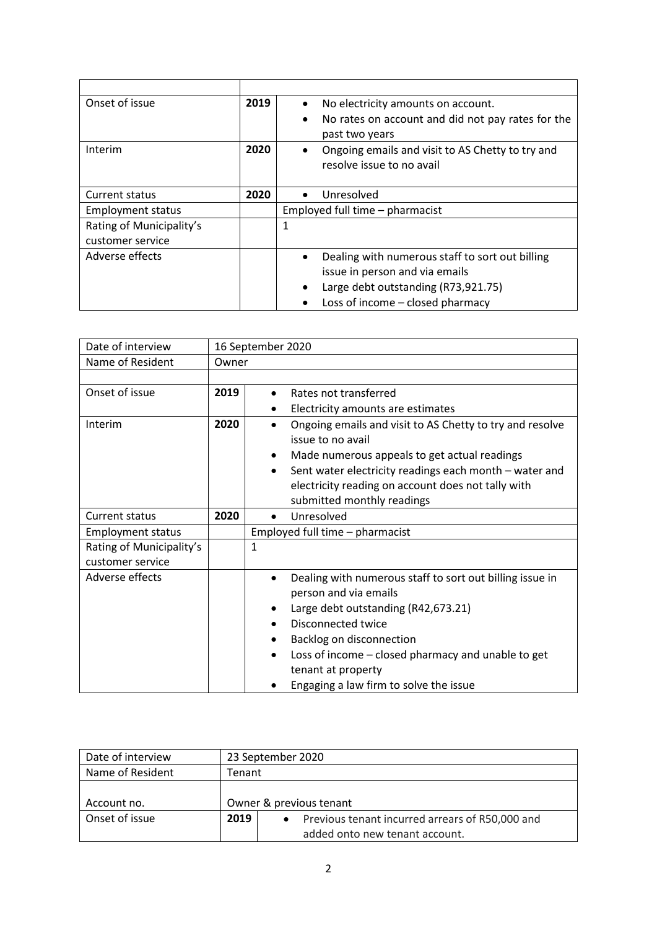| Onset of issue           | 2019 | No electricity amounts on account.                |
|--------------------------|------|---------------------------------------------------|
|                          |      | No rates on account and did not pay rates for the |
|                          |      | past two years                                    |
| Interim                  | 2020 | Ongoing emails and visit to AS Chetty to try and  |
|                          |      | resolve issue to no avail                         |
|                          |      |                                                   |
| Current status           | 2020 | Unresolved                                        |
| <b>Employment status</b> |      | Employed full time - pharmacist                   |
| Rating of Municipality's |      | 1                                                 |
| customer service         |      |                                                   |
| Adverse effects          |      | Dealing with numerous staff to sort out billing   |
|                          |      | issue in person and via emails                    |
|                          |      | Large debt outstanding (R73,921.75)               |
|                          |      | Loss of income – closed pharmacy                  |

| Date of interview        |       | 16 September 2020                                                                                                                                                                                                                                                                                             |
|--------------------------|-------|---------------------------------------------------------------------------------------------------------------------------------------------------------------------------------------------------------------------------------------------------------------------------------------------------------------|
| Name of Resident         | Owner |                                                                                                                                                                                                                                                                                                               |
|                          |       |                                                                                                                                                                                                                                                                                                               |
| Onset of issue           | 2019  | Rates not transferred                                                                                                                                                                                                                                                                                         |
|                          |       | Electricity amounts are estimates                                                                                                                                                                                                                                                                             |
| Interim                  | 2020  | Ongoing emails and visit to AS Chetty to try and resolve<br>issue to no avail<br>Made numerous appeals to get actual readings<br>$\bullet$                                                                                                                                                                    |
|                          |       | Sent water electricity readings each month - water and<br>$\bullet$<br>electricity reading on account does not tally with<br>submitted monthly readings                                                                                                                                                       |
| <b>Current status</b>    | 2020  | Unresolved                                                                                                                                                                                                                                                                                                    |
| <b>Employment status</b> |       | Employed full time - pharmacist                                                                                                                                                                                                                                                                               |
| Rating of Municipality's |       | $\mathbf{1}$                                                                                                                                                                                                                                                                                                  |
| customer service         |       |                                                                                                                                                                                                                                                                                                               |
| Adverse effects          |       | Dealing with numerous staff to sort out billing issue in<br>person and via emails<br>Large debt outstanding (R42,673.21)<br>Disconnected twice<br>$\bullet$<br>Backlog on disconnection<br>Loss of income – closed pharmacy and unable to get<br>tenant at property<br>Engaging a law firm to solve the issue |

| Date of interview |        | 23 September 2020                               |
|-------------------|--------|-------------------------------------------------|
| Name of Resident  | Tenant |                                                 |
|                   |        |                                                 |
| Account no.       |        | Owner & previous tenant                         |
| Onset of issue    | 2019   | Previous tenant incurred arrears of R50,000 and |
|                   |        | added onto new tenant account.                  |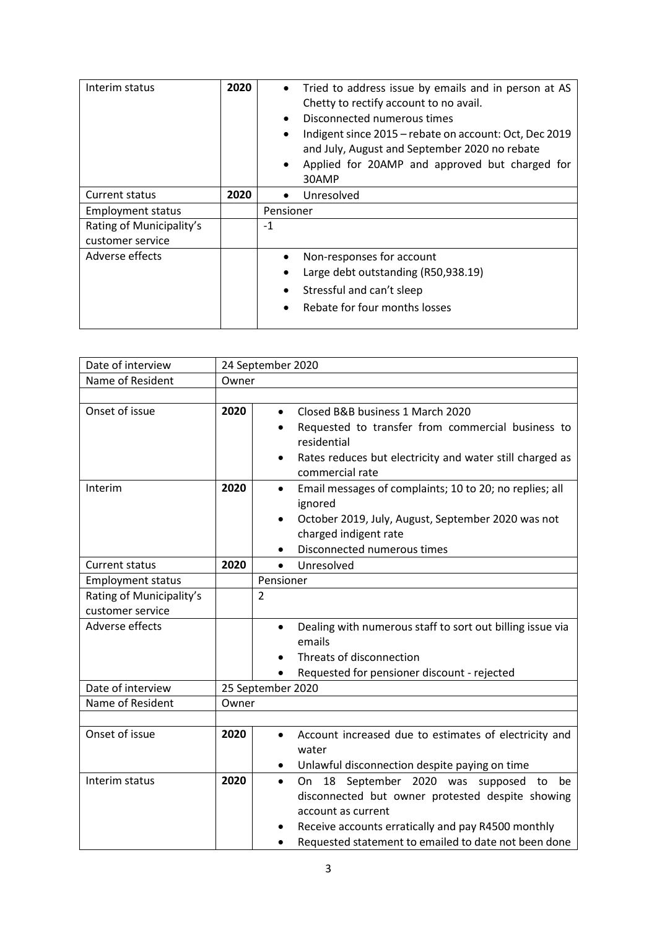| Interim status                               | 2020 | Tried to address issue by emails and in person at AS<br>Chetty to rectify account to no avail.<br>Disconnected numerous times<br>$\bullet$<br>Indigent since 2015 - rebate on account: Oct, Dec 2019<br>$\bullet$<br>and July, August and September 2020 no rebate<br>Applied for 20AMP and approved but charged for<br>30AMP |
|----------------------------------------------|------|-------------------------------------------------------------------------------------------------------------------------------------------------------------------------------------------------------------------------------------------------------------------------------------------------------------------------------|
| <b>Current status</b>                        | 2020 | Unresolved                                                                                                                                                                                                                                                                                                                    |
| <b>Employment status</b>                     |      | Pensioner                                                                                                                                                                                                                                                                                                                     |
| Rating of Municipality's<br>customer service |      | -1                                                                                                                                                                                                                                                                                                                            |
| Adverse effects                              |      | Non-responses for account<br>$\bullet$                                                                                                                                                                                                                                                                                        |
|                                              |      | Large debt outstanding (R50,938.19)                                                                                                                                                                                                                                                                                           |
|                                              |      | Stressful and can't sleep                                                                                                                                                                                                                                                                                                     |
|                                              |      | Rebate for four months losses                                                                                                                                                                                                                                                                                                 |

| Date of interview        |       | 24 September 2020                                                      |  |  |
|--------------------------|-------|------------------------------------------------------------------------|--|--|
| Name of Resident         | Owner |                                                                        |  |  |
|                          |       |                                                                        |  |  |
| Onset of issue           | 2020  | Closed B&B business 1 March 2020<br>$\bullet$                          |  |  |
|                          |       | Requested to transfer from commercial business to                      |  |  |
|                          |       | residential                                                            |  |  |
|                          |       | Rates reduces but electricity and water still charged as               |  |  |
|                          |       | commercial rate                                                        |  |  |
| Interim                  | 2020  | Email messages of complaints; 10 to 20; no replies; all<br>٠           |  |  |
|                          |       | ignored                                                                |  |  |
|                          |       | October 2019, July, August, September 2020 was not<br>$\bullet$        |  |  |
|                          |       | charged indigent rate                                                  |  |  |
|                          |       | Disconnected numerous times                                            |  |  |
| <b>Current status</b>    | 2020  | Unresolved<br>$\bullet$                                                |  |  |
| <b>Employment status</b> |       | Pensioner                                                              |  |  |
| Rating of Municipality's |       | $\overline{2}$                                                         |  |  |
| customer service         |       |                                                                        |  |  |
| Adverse effects          |       | Dealing with numerous staff to sort out billing issue via<br>$\bullet$ |  |  |
|                          |       | emails                                                                 |  |  |
|                          |       | Threats of disconnection                                               |  |  |
|                          |       | Requested for pensioner discount - rejected                            |  |  |
| Date of interview        |       | 25 September 2020                                                      |  |  |
| Name of Resident         | Owner |                                                                        |  |  |
|                          |       |                                                                        |  |  |
| Onset of issue           | 2020  | Account increased due to estimates of electricity and<br>$\bullet$     |  |  |
|                          |       | water                                                                  |  |  |
|                          |       | Unlawful disconnection despite paying on time                          |  |  |
| Interim status           | 2020  | 18 September 2020 was supposed to<br>On<br>be<br>$\bullet$             |  |  |
|                          |       | disconnected but owner protested despite showing                       |  |  |
|                          |       | account as current                                                     |  |  |
|                          |       | Receive accounts erratically and pay R4500 monthly                     |  |  |
|                          |       | Requested statement to emailed to date not been done                   |  |  |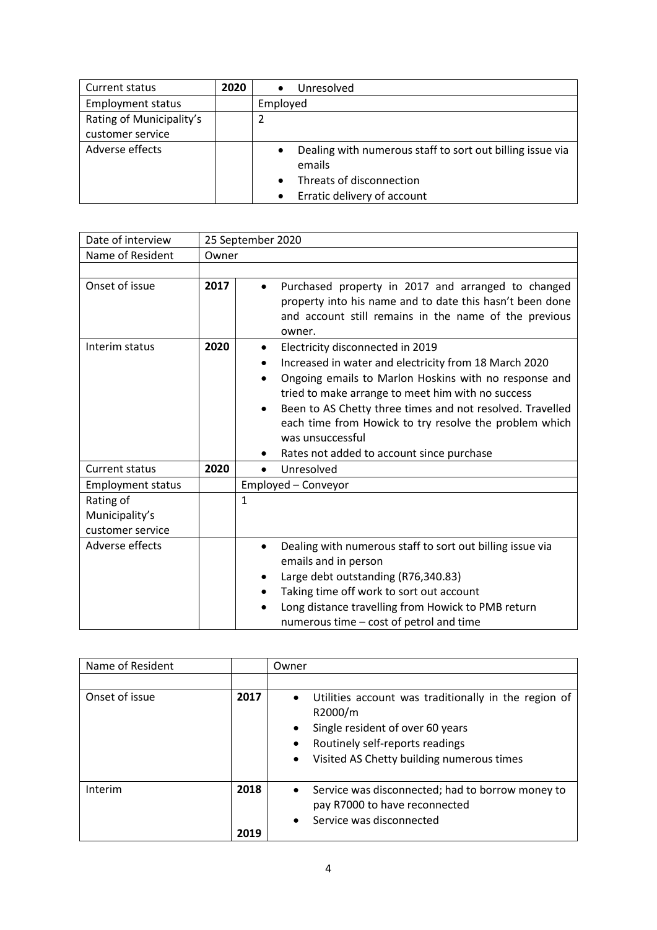| Current status           | 2020 | Unresolved                                                             |
|--------------------------|------|------------------------------------------------------------------------|
| <b>Employment status</b> |      | Employed                                                               |
| Rating of Municipality's |      |                                                                        |
| customer service         |      |                                                                        |
| Adverse effects          |      | Dealing with numerous staff to sort out billing issue via<br>$\bullet$ |
|                          |      | emails                                                                 |
|                          |      | Threats of disconnection                                               |
|                          |      | Erratic delivery of account<br>$\bullet$                               |

| Date of interview                               | 25 September 2020 |                                                                                                                                                                                                                                                                                                                                                                                                                   |  |
|-------------------------------------------------|-------------------|-------------------------------------------------------------------------------------------------------------------------------------------------------------------------------------------------------------------------------------------------------------------------------------------------------------------------------------------------------------------------------------------------------------------|--|
| Name of Resident                                | Owner             |                                                                                                                                                                                                                                                                                                                                                                                                                   |  |
|                                                 |                   |                                                                                                                                                                                                                                                                                                                                                                                                                   |  |
| Onset of issue                                  | 2017              | Purchased property in 2017 and arranged to changed<br>property into his name and to date this hasn't been done<br>and account still remains in the name of the previous<br>owner.                                                                                                                                                                                                                                 |  |
| Interim status                                  | 2020              | Electricity disconnected in 2019<br>Increased in water and electricity from 18 March 2020<br>٠<br>Ongoing emails to Marlon Hoskins with no response and<br>$\bullet$<br>tried to make arrange to meet him with no success<br>Been to AS Chetty three times and not resolved. Travelled<br>each time from Howick to try resolve the problem which<br>was unsuccessful<br>Rates not added to account since purchase |  |
| <b>Current status</b>                           | 2020              | Unresolved<br>$\bullet$                                                                                                                                                                                                                                                                                                                                                                                           |  |
| <b>Employment status</b>                        |                   | Employed - Conveyor                                                                                                                                                                                                                                                                                                                                                                                               |  |
| Rating of<br>Municipality's<br>customer service |                   | $\mathbf{1}$                                                                                                                                                                                                                                                                                                                                                                                                      |  |
| Adverse effects                                 |                   | Dealing with numerous staff to sort out billing issue via<br>emails and in person<br>Large debt outstanding (R76,340.83)<br>Taking time off work to sort out account<br>Long distance travelling from Howick to PMB return<br>numerous time – cost of petrol and time                                                                                                                                             |  |

| Name of Resident |              | Owner                                                                                                                                                                                                                                   |
|------------------|--------------|-----------------------------------------------------------------------------------------------------------------------------------------------------------------------------------------------------------------------------------------|
|                  |              |                                                                                                                                                                                                                                         |
| Onset of issue   | 2017         | Utilities account was traditionally in the region of<br>$\bullet$<br>R2000/m<br>Single resident of over 60 years<br>$\bullet$<br>Routinely self-reports readings<br>$\bullet$<br>Visited AS Chetty building numerous times<br>$\bullet$ |
| Interim          | 2018<br>2019 | Service was disconnected; had to borrow money to<br>$\bullet$<br>pay R7000 to have reconnected<br>Service was disconnected<br>$\bullet$                                                                                                 |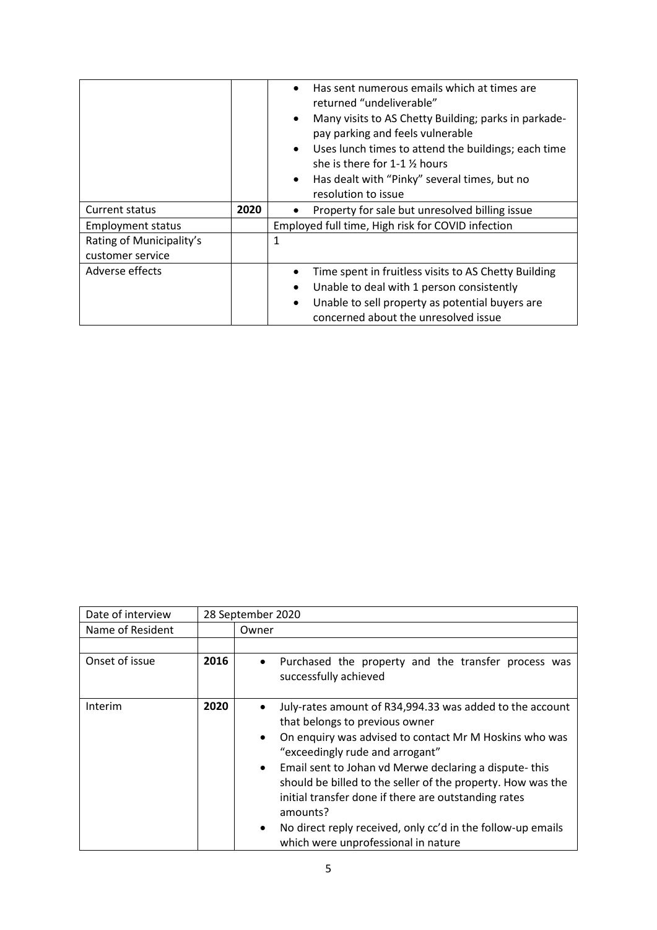|                                              |      | Has sent numerous emails which at times are<br>$\bullet$<br>returned "undeliverable"<br>Many visits to AS Chetty Building; parks in parkade-<br>$\bullet$<br>pay parking and feels vulnerable<br>Uses lunch times to attend the buildings; each time<br>$\bullet$<br>she is there for 1-1 % hours<br>Has dealt with "Pinky" several times, but no<br>$\bullet$<br>resolution to issue |
|----------------------------------------------|------|---------------------------------------------------------------------------------------------------------------------------------------------------------------------------------------------------------------------------------------------------------------------------------------------------------------------------------------------------------------------------------------|
| Current status                               | 2020 | Property for sale but unresolved billing issue                                                                                                                                                                                                                                                                                                                                        |
| <b>Employment status</b>                     |      | Employed full time, High risk for COVID infection                                                                                                                                                                                                                                                                                                                                     |
| Rating of Municipality's<br>customer service |      | 1                                                                                                                                                                                                                                                                                                                                                                                     |
| Adverse effects                              |      | Time spent in fruitless visits to AS Chetty Building<br>Unable to deal with 1 person consistently<br>$\bullet$<br>Unable to sell property as potential buyers are<br>$\bullet$<br>concerned about the unresolved issue                                                                                                                                                                |

| Date of interview |      | 28 September 2020                                                                                                                                                                                                                                                                                                                                                                                                                                                                                                                |  |
|-------------------|------|----------------------------------------------------------------------------------------------------------------------------------------------------------------------------------------------------------------------------------------------------------------------------------------------------------------------------------------------------------------------------------------------------------------------------------------------------------------------------------------------------------------------------------|--|
| Name of Resident  |      | Owner                                                                                                                                                                                                                                                                                                                                                                                                                                                                                                                            |  |
|                   |      |                                                                                                                                                                                                                                                                                                                                                                                                                                                                                                                                  |  |
| Onset of issue    | 2016 | Purchased the property and the transfer process was<br>$\bullet$<br>successfully achieved                                                                                                                                                                                                                                                                                                                                                                                                                                        |  |
| Interim           | 2020 | July-rates amount of R34,994.33 was added to the account<br>that belongs to previous owner<br>On enquiry was advised to contact Mr M Hoskins who was<br>$\bullet$<br>"exceedingly rude and arrogant"<br>Email sent to Johan vd Merwe declaring a dispute-this<br>$\bullet$<br>should be billed to the seller of the property. How was the<br>initial transfer done if there are outstanding rates<br>amounts?<br>No direct reply received, only cc'd in the follow-up emails<br>$\bullet$<br>which were unprofessional in nature |  |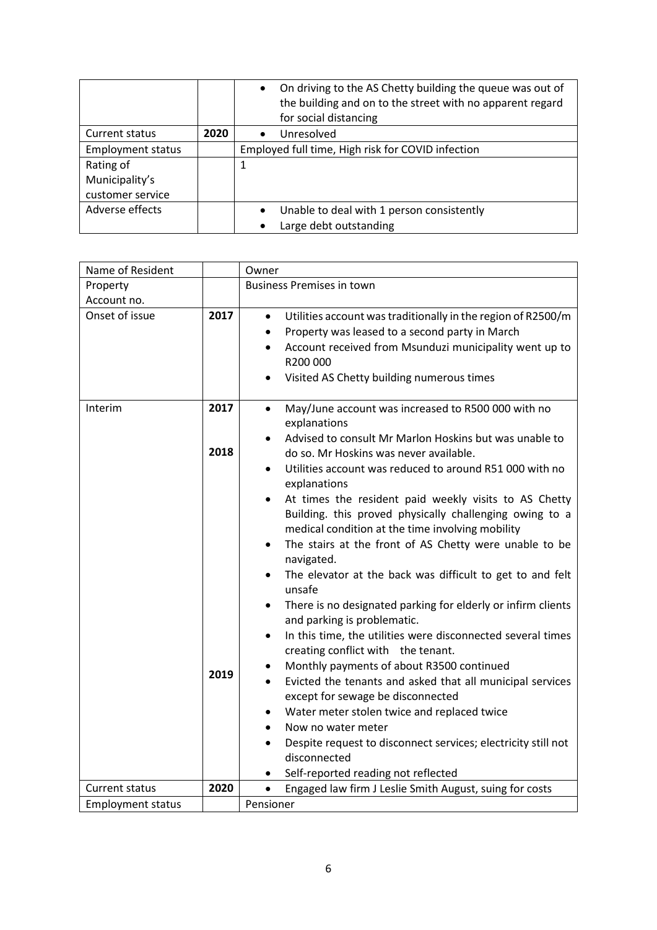|                          |      | On driving to the AS Chetty building the queue was out of<br>$\bullet$<br>the building and on to the street with no apparent regard<br>for social distancing |
|--------------------------|------|--------------------------------------------------------------------------------------------------------------------------------------------------------------|
| Current status           | 2020 | Unresolved<br>$\bullet$                                                                                                                                      |
| <b>Employment status</b> |      | Employed full time, High risk for COVID infection                                                                                                            |
| Rating of                |      | 1                                                                                                                                                            |
| Municipality's           |      |                                                                                                                                                              |
| customer service         |      |                                                                                                                                                              |
| Adverse effects          |      | Unable to deal with 1 person consistently<br>$\bullet$                                                                                                       |
|                          |      | Large debt outstanding                                                                                                                                       |

| Name of Resident         |                      | Owner                                                                                                                                                                                                                                                                                                                                                                                                                                                                                                                                                                                                                                                                                                                                                                                                                                                                                                                                                                                                                                                                                                                                                                                                               |
|--------------------------|----------------------|---------------------------------------------------------------------------------------------------------------------------------------------------------------------------------------------------------------------------------------------------------------------------------------------------------------------------------------------------------------------------------------------------------------------------------------------------------------------------------------------------------------------------------------------------------------------------------------------------------------------------------------------------------------------------------------------------------------------------------------------------------------------------------------------------------------------------------------------------------------------------------------------------------------------------------------------------------------------------------------------------------------------------------------------------------------------------------------------------------------------------------------------------------------------------------------------------------------------|
| Property                 |                      | <b>Business Premises in town</b>                                                                                                                                                                                                                                                                                                                                                                                                                                                                                                                                                                                                                                                                                                                                                                                                                                                                                                                                                                                                                                                                                                                                                                                    |
| Account no.              |                      |                                                                                                                                                                                                                                                                                                                                                                                                                                                                                                                                                                                                                                                                                                                                                                                                                                                                                                                                                                                                                                                                                                                                                                                                                     |
| Onset of issue           | 2017                 | Utilities account was traditionally in the region of R2500/m<br>$\bullet$<br>Property was leased to a second party in March<br>$\bullet$<br>Account received from Msunduzi municipality went up to<br>$\bullet$<br>R200 000<br>Visited AS Chetty building numerous times<br>$\bullet$                                                                                                                                                                                                                                                                                                                                                                                                                                                                                                                                                                                                                                                                                                                                                                                                                                                                                                                               |
| Interim                  | 2017<br>2018<br>2019 | May/June account was increased to R500 000 with no<br>$\bullet$<br>explanations<br>Advised to consult Mr Marlon Hoskins but was unable to<br>do so. Mr Hoskins was never available.<br>Utilities account was reduced to around R51 000 with no<br>explanations<br>At times the resident paid weekly visits to AS Chetty<br>Building. this proved physically challenging owing to a<br>medical condition at the time involving mobility<br>The stairs at the front of AS Chetty were unable to be<br>$\bullet$<br>navigated.<br>The elevator at the back was difficult to get to and felt<br>$\bullet$<br>unsafe<br>There is no designated parking for elderly or infirm clients<br>$\bullet$<br>and parking is problematic.<br>In this time, the utilities were disconnected several times<br>$\bullet$<br>creating conflict with the tenant.<br>Monthly payments of about R3500 continued<br>Evicted the tenants and asked that all municipal services<br>except for sewage be disconnected<br>Water meter stolen twice and replaced twice<br>Now no water meter<br>Despite request to disconnect services; electricity still not<br>$\bullet$<br>disconnected<br>Self-reported reading not reflected<br>$\bullet$ |
| <b>Current status</b>    | 2020                 | Engaged law firm J Leslie Smith August, suing for costs<br>$\bullet$                                                                                                                                                                                                                                                                                                                                                                                                                                                                                                                                                                                                                                                                                                                                                                                                                                                                                                                                                                                                                                                                                                                                                |
| <b>Employment status</b> |                      | Pensioner                                                                                                                                                                                                                                                                                                                                                                                                                                                                                                                                                                                                                                                                                                                                                                                                                                                                                                                                                                                                                                                                                                                                                                                                           |
|                          |                      |                                                                                                                                                                                                                                                                                                                                                                                                                                                                                                                                                                                                                                                                                                                                                                                                                                                                                                                                                                                                                                                                                                                                                                                                                     |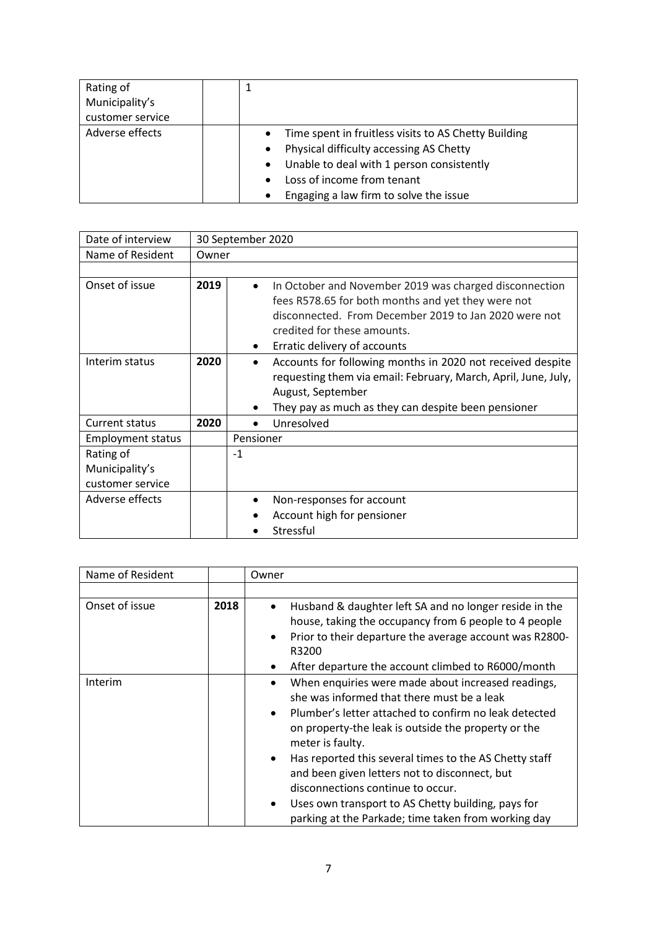| Rating of<br>Municipality's |                                                                                                                                                                                                                                                                                       |
|-----------------------------|---------------------------------------------------------------------------------------------------------------------------------------------------------------------------------------------------------------------------------------------------------------------------------------|
| customer service            |                                                                                                                                                                                                                                                                                       |
| Adverse effects             | Time spent in fruitless visits to AS Chetty Building<br>$\bullet$<br>Physical difficulty accessing AS Chetty<br>$\bullet$<br>Unable to deal with 1 person consistently<br>$\bullet$<br>Loss of income from tenant<br>$\bullet$<br>Engaging a law firm to solve the issue<br>$\bullet$ |

| Date of interview        |       | 30 September 2020                                                                                                                                                                                                                                              |
|--------------------------|-------|----------------------------------------------------------------------------------------------------------------------------------------------------------------------------------------------------------------------------------------------------------------|
| Name of Resident         | Owner |                                                                                                                                                                                                                                                                |
|                          |       |                                                                                                                                                                                                                                                                |
| Onset of issue           | 2019  | In October and November 2019 was charged disconnection<br>$\bullet$<br>fees R578.65 for both months and yet they were not<br>disconnected. From December 2019 to Jan 2020 were not<br>credited for these amounts.<br>Erratic delivery of accounts<br>$\bullet$ |
| Interim status           | 2020  | Accounts for following months in 2020 not received despite<br>$\bullet$<br>requesting them via email: February, March, April, June, July,<br>August, September<br>They pay as much as they can despite been pensioner<br>$\bullet$                             |
| Current status           | 2020  | Unresolved                                                                                                                                                                                                                                                     |
| <b>Employment status</b> |       | Pensioner                                                                                                                                                                                                                                                      |
| Rating of                |       | $-1$                                                                                                                                                                                                                                                           |
| Municipality's           |       |                                                                                                                                                                                                                                                                |
| customer service         |       |                                                                                                                                                                                                                                                                |
| Adverse effects          |       | Non-responses for account                                                                                                                                                                                                                                      |
|                          |       | Account high for pensioner                                                                                                                                                                                                                                     |
|                          |       | Stressful                                                                                                                                                                                                                                                      |

| Name of Resident |      | Owner                                                                                                                                                                                                                                                                                                                                                                                                                                                                                                                                    |
|------------------|------|------------------------------------------------------------------------------------------------------------------------------------------------------------------------------------------------------------------------------------------------------------------------------------------------------------------------------------------------------------------------------------------------------------------------------------------------------------------------------------------------------------------------------------------|
|                  |      |                                                                                                                                                                                                                                                                                                                                                                                                                                                                                                                                          |
| Onset of issue   | 2018 | Husband & daughter left SA and no longer reside in the<br>house, taking the occupancy from 6 people to 4 people<br>Prior to their departure the average account was R2800-<br>$\bullet$<br>R3200<br>After departure the account climbed to R6000/month                                                                                                                                                                                                                                                                                   |
| Interim          |      | When enquiries were made about increased readings,<br>she was informed that there must be a leak<br>Plumber's letter attached to confirm no leak detected<br>$\bullet$<br>on property-the leak is outside the property or the<br>meter is faulty.<br>Has reported this several times to the AS Chetty staff<br>$\bullet$<br>and been given letters not to disconnect, but<br>disconnections continue to occur.<br>Uses own transport to AS Chetty building, pays for<br>$\bullet$<br>parking at the Parkade; time taken from working day |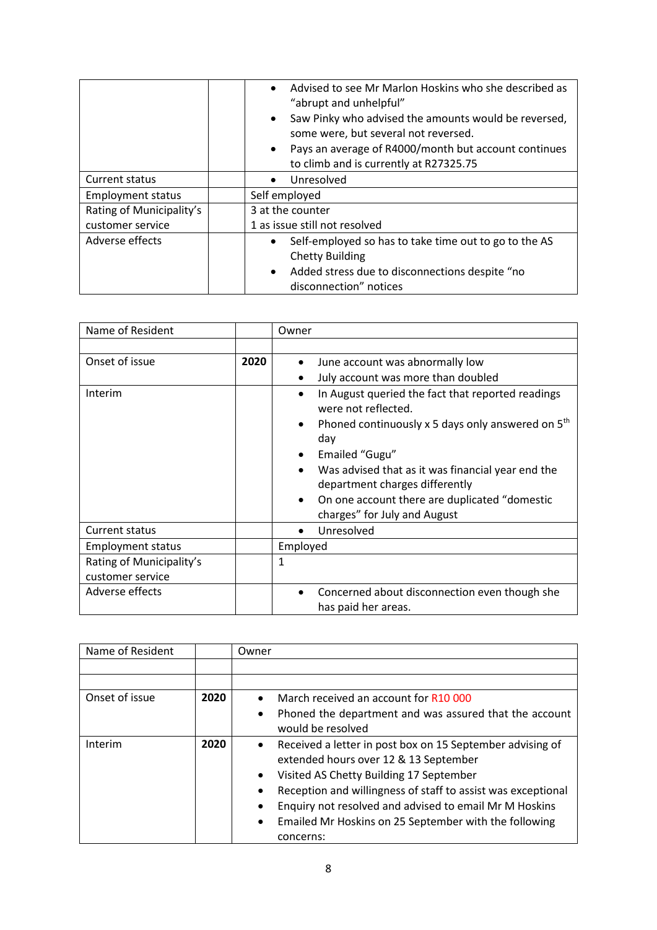|                          | Advised to see Mr Marlon Hoskins who she described as<br>"abrupt and unhelpful"<br>Saw Pinky who advised the amounts would be reversed,<br>$\bullet$<br>some were, but several not reversed.<br>Pays an average of R4000/month but account continues<br>$\bullet$<br>to climb and is currently at R27325.75 |
|--------------------------|-------------------------------------------------------------------------------------------------------------------------------------------------------------------------------------------------------------------------------------------------------------------------------------------------------------|
| Current status           | Unresolved                                                                                                                                                                                                                                                                                                  |
| <b>Employment status</b> | Self employed                                                                                                                                                                                                                                                                                               |
| Rating of Municipality's | 3 at the counter                                                                                                                                                                                                                                                                                            |
| customer service         | 1 as issue still not resolved                                                                                                                                                                                                                                                                               |
| Adverse effects          | Self-employed so has to take time out to go to the AS<br>$\bullet$<br><b>Chetty Building</b><br>Added stress due to disconnections despite "no<br>$\bullet$<br>disconnection" notices                                                                                                                       |

| Name of Resident         |      | Owner                                                                                                                                                                                                                                                                                                                                                 |
|--------------------------|------|-------------------------------------------------------------------------------------------------------------------------------------------------------------------------------------------------------------------------------------------------------------------------------------------------------------------------------------------------------|
|                          |      |                                                                                                                                                                                                                                                                                                                                                       |
| Onset of issue           | 2020 | June account was abnormally low<br>$\bullet$                                                                                                                                                                                                                                                                                                          |
|                          |      | July account was more than doubled                                                                                                                                                                                                                                                                                                                    |
| Interim                  |      | In August queried the fact that reported readings<br>٠<br>were not reflected.<br>Phoned continuously x 5 days only answered on 5 <sup>th</sup><br>٠<br>day<br>Emailed "Gugu"<br>Was advised that as it was financial year end the<br>department charges differently<br>On one account there are duplicated "domestic"<br>charges" for July and August |
| Current status           |      | Unresolved                                                                                                                                                                                                                                                                                                                                            |
| <b>Employment status</b> |      | Employed                                                                                                                                                                                                                                                                                                                                              |
|                          |      |                                                                                                                                                                                                                                                                                                                                                       |
| Rating of Municipality's |      | 1                                                                                                                                                                                                                                                                                                                                                     |
| customer service         |      |                                                                                                                                                                                                                                                                                                                                                       |
| Adverse effects          |      | Concerned about disconnection even though she<br>has paid her areas.                                                                                                                                                                                                                                                                                  |

| Name of Resident |      | Owner                                                                  |
|------------------|------|------------------------------------------------------------------------|
|                  |      |                                                                        |
|                  |      |                                                                        |
| Onset of issue   | 2020 | March received an account for R10 000<br>$\bullet$                     |
|                  |      | Phoned the department and was assured that the account<br>٠            |
|                  |      | would be resolved                                                      |
| Interim          | 2020 | Received a letter in post box on 15 September advising of<br>$\bullet$ |
|                  |      | extended hours over 12 & 13 September                                  |
|                  |      | Visited AS Chetty Building 17 September<br>$\bullet$                   |
|                  |      | Reception and willingness of staff to assist was exceptional           |
|                  |      | Enquiry not resolved and advised to email Mr M Hoskins                 |
|                  |      | Emailed Mr Hoskins on 25 September with the following<br>$\bullet$     |
|                  |      | concerns:                                                              |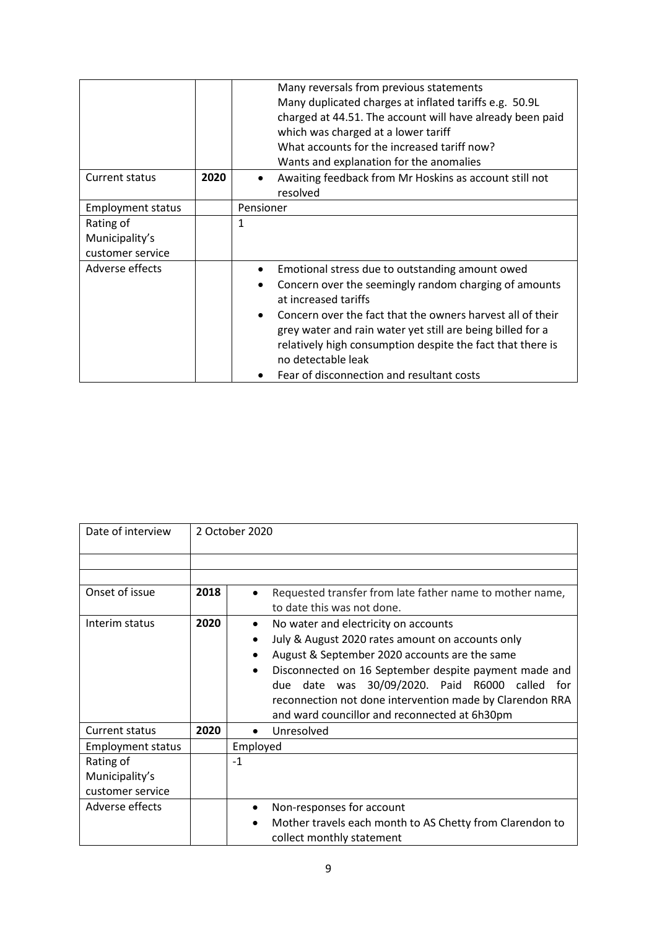|                          |      | Many reversals from previous statements                                 |
|--------------------------|------|-------------------------------------------------------------------------|
|                          |      | Many duplicated charges at inflated tariffs e.g. 50.9L                  |
|                          |      | charged at 44.51. The account will have already been paid               |
|                          |      | which was charged at a lower tariff                                     |
|                          |      | What accounts for the increased tariff now?                             |
|                          |      | Wants and explanation for the anomalies                                 |
| Current status           | 2020 | Awaiting feedback from Mr Hoskins as account still not                  |
|                          |      | resolved                                                                |
| <b>Employment status</b> |      | Pensioner                                                               |
| Rating of                |      | 1                                                                       |
| Municipality's           |      |                                                                         |
| customer service         |      |                                                                         |
| Adverse effects          |      | Emotional stress due to outstanding amount owed                         |
|                          |      | Concern over the seemingly random charging of amounts                   |
|                          |      | at increased tariffs                                                    |
|                          |      | Concern over the fact that the owners harvest all of their<br>$\bullet$ |
|                          |      | grey water and rain water yet still are being billed for a              |
|                          |      | relatively high consumption despite the fact that there is              |
|                          |      | no detectable leak                                                      |
|                          |      | Fear of disconnection and resultant costs                               |

| Date of interview        |      | 2 October 2020                                                                                     |
|--------------------------|------|----------------------------------------------------------------------------------------------------|
|                          |      |                                                                                                    |
|                          |      |                                                                                                    |
| Onset of issue           | 2018 | Requested transfer from late father name to mother name,<br>$\bullet$                              |
|                          |      | to date this was not done.                                                                         |
| Interim status           | 2020 | No water and electricity on accounts                                                               |
|                          |      | July & August 2020 rates amount on accounts only                                                   |
|                          |      | August & September 2020 accounts are the same<br>$\bullet$                                         |
|                          |      | Disconnected on 16 September despite payment made and<br>$\bullet$                                 |
|                          |      | due date was 30/09/2020. Paid R6000 called<br>for                                                  |
|                          |      | reconnection not done intervention made by Clarendon RRA                                           |
|                          |      | and ward councillor and reconnected at 6h30pm                                                      |
| <b>Current status</b>    | 2020 | Unresolved<br>$\bullet$                                                                            |
| <b>Employment status</b> |      | Employed                                                                                           |
| Rating of                |      | $-1$                                                                                               |
| Municipality's           |      |                                                                                                    |
| customer service         |      |                                                                                                    |
| Adverse effects          |      | Non-responses for account<br>$\bullet$                                                             |
|                          |      | Mother travels each month to AS Chetty from Clarendon to<br>$\bullet$<br>collect monthly statement |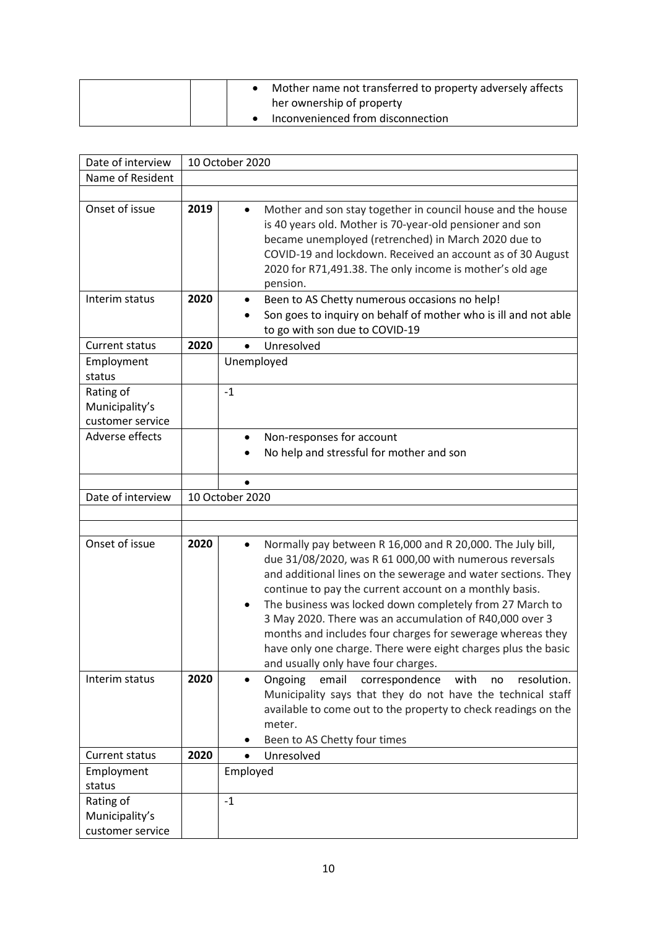| Mother name not transferred to property adversely affects<br>her ownership of property |
|----------------------------------------------------------------------------------------|
| Inconvenienced from disconnection                                                      |

| Date of interview                               |      | 10 October 2020                                                                                                                                                                                                                                                                                                                                                                                                                                                                                                                                |  |  |
|-------------------------------------------------|------|------------------------------------------------------------------------------------------------------------------------------------------------------------------------------------------------------------------------------------------------------------------------------------------------------------------------------------------------------------------------------------------------------------------------------------------------------------------------------------------------------------------------------------------------|--|--|
| Name of Resident                                |      |                                                                                                                                                                                                                                                                                                                                                                                                                                                                                                                                                |  |  |
|                                                 |      |                                                                                                                                                                                                                                                                                                                                                                                                                                                                                                                                                |  |  |
| Onset of issue                                  | 2019 | Mother and son stay together in council house and the house<br>$\bullet$<br>is 40 years old. Mother is 70-year-old pensioner and son<br>became unemployed (retrenched) in March 2020 due to<br>COVID-19 and lockdown. Received an account as of 30 August<br>2020 for R71,491.38. The only income is mother's old age<br>pension.                                                                                                                                                                                                              |  |  |
| Interim status                                  | 2020 | Been to AS Chetty numerous occasions no help!<br>Son goes to inquiry on behalf of mother who is ill and not able<br>to go with son due to COVID-19                                                                                                                                                                                                                                                                                                                                                                                             |  |  |
| Current status                                  | 2020 | Unresolved                                                                                                                                                                                                                                                                                                                                                                                                                                                                                                                                     |  |  |
| Employment<br>status                            |      | Unemployed                                                                                                                                                                                                                                                                                                                                                                                                                                                                                                                                     |  |  |
| Rating of<br>Municipality's<br>customer service |      | $-1$                                                                                                                                                                                                                                                                                                                                                                                                                                                                                                                                           |  |  |
| Adverse effects                                 |      | Non-responses for account<br>$\bullet$<br>No help and stressful for mother and son                                                                                                                                                                                                                                                                                                                                                                                                                                                             |  |  |
|                                                 |      |                                                                                                                                                                                                                                                                                                                                                                                                                                                                                                                                                |  |  |
| Date of interview                               |      | 10 October 2020                                                                                                                                                                                                                                                                                                                                                                                                                                                                                                                                |  |  |
|                                                 |      |                                                                                                                                                                                                                                                                                                                                                                                                                                                                                                                                                |  |  |
|                                                 |      |                                                                                                                                                                                                                                                                                                                                                                                                                                                                                                                                                |  |  |
| Onset of issue                                  | 2020 | Normally pay between R 16,000 and R 20,000. The July bill,<br>due 31/08/2020, was R 61 000,00 with numerous reversals<br>and additional lines on the sewerage and water sections. They<br>continue to pay the current account on a monthly basis.<br>The business was locked down completely from 27 March to<br>3 May 2020. There was an accumulation of R40,000 over 3<br>months and includes four charges for sewerage whereas they<br>have only one charge. There were eight charges plus the basic<br>and usually only have four charges. |  |  |
| Interim status                                  | 2020 | Ongoing<br>email<br>correspondence<br>with<br>resolution.<br>no<br>$\bullet$<br>Municipality says that they do not have the technical staff<br>available to come out to the property to check readings on the<br>meter.<br>Been to AS Chetty four times<br>٠                                                                                                                                                                                                                                                                                   |  |  |
| Current status                                  | 2020 | Unresolved<br>$\bullet$                                                                                                                                                                                                                                                                                                                                                                                                                                                                                                                        |  |  |
| Employment<br>status                            |      | Employed                                                                                                                                                                                                                                                                                                                                                                                                                                                                                                                                       |  |  |
| Rating of<br>Municipality's<br>customer service |      | $-1$                                                                                                                                                                                                                                                                                                                                                                                                                                                                                                                                           |  |  |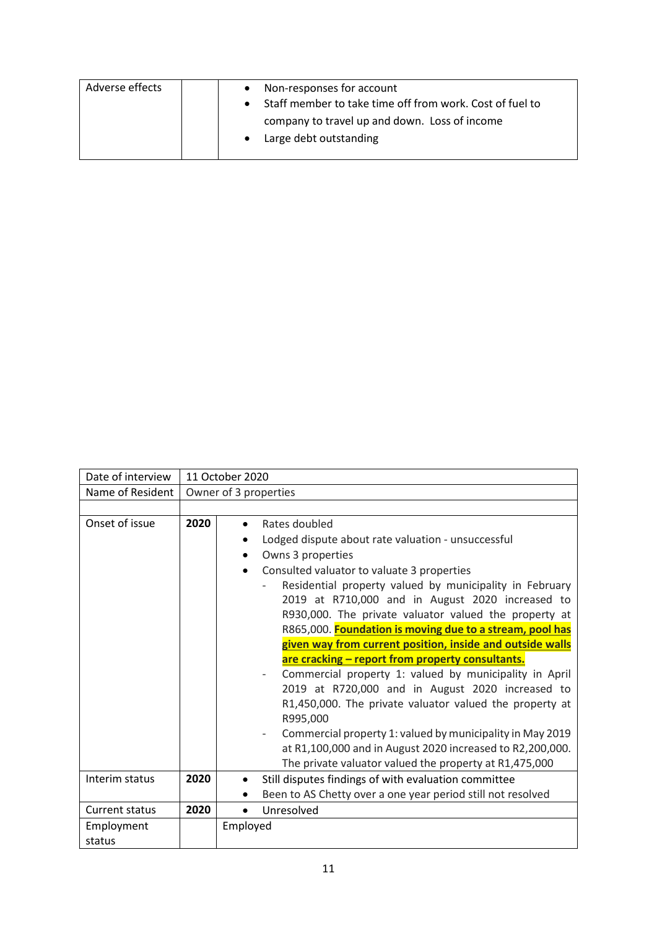| Adverse effects | Non-responses for account<br>Staff member to take time off from work. Cost of fuel to |
|-----------------|---------------------------------------------------------------------------------------|
|                 | company to travel up and down. Loss of income<br>Large debt outstanding<br>$\bullet$  |

| Date of interview    |      | 11 October 2020                                                                                                                                                                                                                                                                                                                                                                                                                                                                                                                                                                                                                                                                                                                                                                                                                                                                                |
|----------------------|------|------------------------------------------------------------------------------------------------------------------------------------------------------------------------------------------------------------------------------------------------------------------------------------------------------------------------------------------------------------------------------------------------------------------------------------------------------------------------------------------------------------------------------------------------------------------------------------------------------------------------------------------------------------------------------------------------------------------------------------------------------------------------------------------------------------------------------------------------------------------------------------------------|
| Name of Resident     |      | Owner of 3 properties                                                                                                                                                                                                                                                                                                                                                                                                                                                                                                                                                                                                                                                                                                                                                                                                                                                                          |
|                      |      |                                                                                                                                                                                                                                                                                                                                                                                                                                                                                                                                                                                                                                                                                                                                                                                                                                                                                                |
| Onset of issue       | 2020 | Rates doubled<br>$\bullet$<br>Lodged dispute about rate valuation - unsuccessful<br>Owns 3 properties<br>$\bullet$<br>Consulted valuator to valuate 3 properties<br>Residential property valued by municipality in February<br>2019 at R710,000 and in August 2020 increased to<br>R930,000. The private valuator valued the property at<br>R865,000. Foundation is moving due to a stream, pool has<br>given way from current position, inside and outside walls<br>are cracking - report from property consultants.<br>Commercial property 1: valued by municipality in April<br>2019 at R720,000 and in August 2020 increased to<br>R1,450,000. The private valuator valued the property at<br>R995,000<br>Commercial property 1: valued by municipality in May 2019<br>at R1,100,000 and in August 2020 increased to R2,200,000.<br>The private valuator valued the property at R1,475,000 |
| Interim status       | 2020 | Still disputes findings of with evaluation committee<br>$\bullet$<br>Been to AS Chetty over a one year period still not resolved                                                                                                                                                                                                                                                                                                                                                                                                                                                                                                                                                                                                                                                                                                                                                               |
| Current status       | 2020 | Unresolved<br>$\bullet$                                                                                                                                                                                                                                                                                                                                                                                                                                                                                                                                                                                                                                                                                                                                                                                                                                                                        |
| Employment<br>status |      | Employed                                                                                                                                                                                                                                                                                                                                                                                                                                                                                                                                                                                                                                                                                                                                                                                                                                                                                       |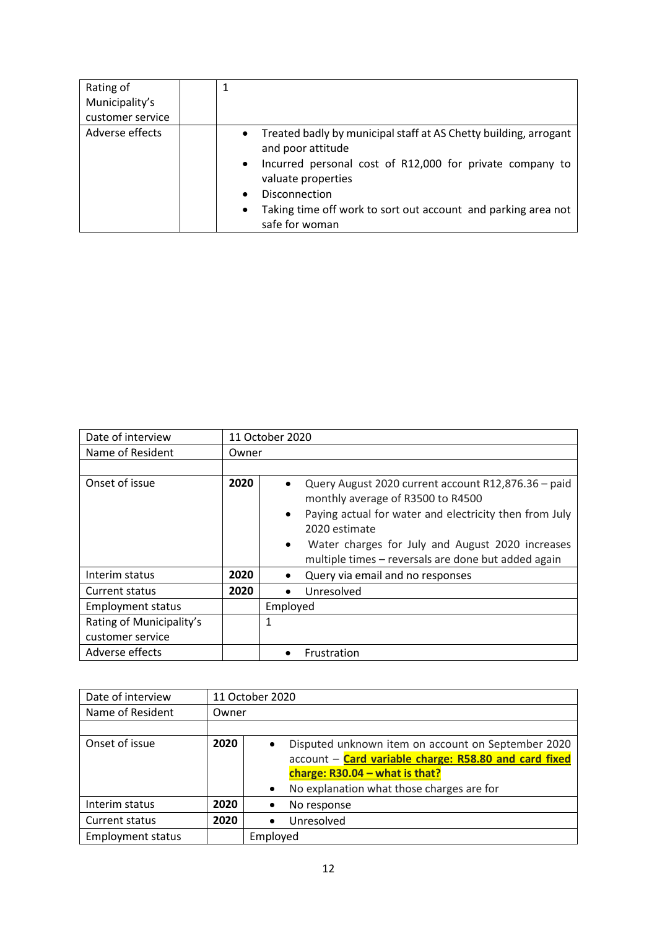| Rating of<br>Municipality's<br>customer service |                                                                                                                                                                                                                                                                                                                      |
|-------------------------------------------------|----------------------------------------------------------------------------------------------------------------------------------------------------------------------------------------------------------------------------------------------------------------------------------------------------------------------|
| Adverse effects                                 | Treated badly by municipal staff at AS Chetty building, arrogant<br>$\bullet$<br>and poor attitude<br>• Incurred personal cost of R12,000 for private company to<br>valuate properties<br>Disconnection<br>$\bullet$<br>Taking time off work to sort out account and parking area not<br>$\bullet$<br>safe for woman |

| Date of interview        |       | 11 October 2020                                                                                                                                                                                                                                                                                                       |
|--------------------------|-------|-----------------------------------------------------------------------------------------------------------------------------------------------------------------------------------------------------------------------------------------------------------------------------------------------------------------------|
| Name of Resident         | Owner |                                                                                                                                                                                                                                                                                                                       |
|                          |       |                                                                                                                                                                                                                                                                                                                       |
| Onset of issue           | 2020  | Query August 2020 current account R12,876.36 - paid<br>$\bullet$<br>monthly average of R3500 to R4500<br>Paying actual for water and electricity then from July<br>$\bullet$<br>2020 estimate<br>Water charges for July and August 2020 increases<br>$\bullet$<br>multiple times - reversals are done but added again |
| Interim status           | 2020  | Query via email and no responses<br>$\bullet$                                                                                                                                                                                                                                                                         |
| Current status           | 2020  | Unresolved<br>$\bullet$                                                                                                                                                                                                                                                                                               |
| <b>Employment status</b> |       | Employed                                                                                                                                                                                                                                                                                                              |
| Rating of Municipality's |       | 1                                                                                                                                                                                                                                                                                                                     |
| customer service         |       |                                                                                                                                                                                                                                                                                                                       |
| Adverse effects          |       | Frustration                                                                                                                                                                                                                                                                                                           |

| Date of interview        |       | 11 October 2020                                                                                                          |
|--------------------------|-------|--------------------------------------------------------------------------------------------------------------------------|
| Name of Resident         | Owner |                                                                                                                          |
|                          |       |                                                                                                                          |
| Onset of issue           | 2020  | Disputed unknown item on account on September 2020<br>$\bullet$<br>account - Card variable charge: R58.80 and card fixed |
|                          |       | charge: $R30.04 - what is that?$                                                                                         |
|                          |       | No explanation what those charges are for<br>$\bullet$                                                                   |
| Interim status           | 2020  | No response                                                                                                              |
| Current status           | 2020  | Unresolved                                                                                                               |
| <b>Employment status</b> |       | Employed                                                                                                                 |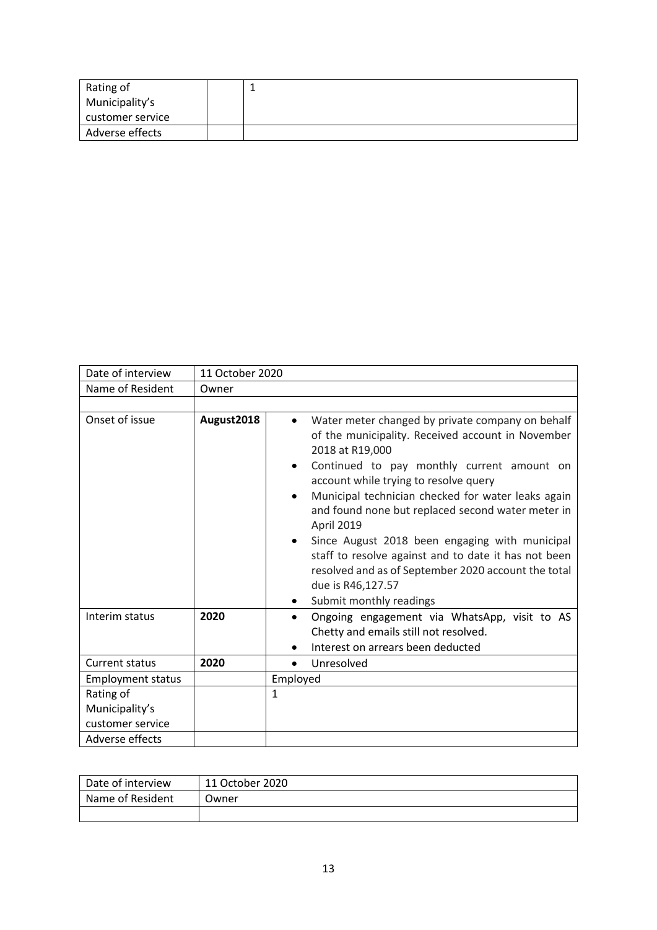| Rating of        |  |
|------------------|--|
| Municipality's   |  |
| customer service |  |
| Adverse effects  |  |

| Date of interview                                                  | 11 October 2020 |                                                                                                                                                                                                                                                                                                                                                                                                                                                                                                                                                                                          |
|--------------------------------------------------------------------|-----------------|------------------------------------------------------------------------------------------------------------------------------------------------------------------------------------------------------------------------------------------------------------------------------------------------------------------------------------------------------------------------------------------------------------------------------------------------------------------------------------------------------------------------------------------------------------------------------------------|
| Name of Resident                                                   | Owner           |                                                                                                                                                                                                                                                                                                                                                                                                                                                                                                                                                                                          |
|                                                                    |                 |                                                                                                                                                                                                                                                                                                                                                                                                                                                                                                                                                                                          |
| Onset of issue                                                     | August2018      | Water meter changed by private company on behalf<br>$\bullet$<br>of the municipality. Received account in November<br>2018 at R19,000<br>Continued to pay monthly current amount on<br>٠<br>account while trying to resolve query<br>Municipal technician checked for water leaks again<br>$\bullet$<br>and found none but replaced second water meter in<br>April 2019<br>Since August 2018 been engaging with municipal<br>staff to resolve against and to date it has not been<br>resolved and as of September 2020 account the total<br>due is R46,127.57<br>Submit monthly readings |
| Interim status                                                     | 2020            | Ongoing engagement via WhatsApp, visit to AS<br>$\bullet$<br>Chetty and emails still not resolved.<br>Interest on arrears been deducted                                                                                                                                                                                                                                                                                                                                                                                                                                                  |
| <b>Current status</b>                                              | 2020            | Unresolved<br>$\bullet$                                                                                                                                                                                                                                                                                                                                                                                                                                                                                                                                                                  |
| <b>Employment status</b>                                           |                 | Employed                                                                                                                                                                                                                                                                                                                                                                                                                                                                                                                                                                                 |
| Rating of<br>Municipality's<br>customer service<br>Adverse effects |                 | 1                                                                                                                                                                                                                                                                                                                                                                                                                                                                                                                                                                                        |
|                                                                    |                 |                                                                                                                                                                                                                                                                                                                                                                                                                                                                                                                                                                                          |

| Date of interview | 11 October 2020 |
|-------------------|-----------------|
| Name of Resident  | Owner           |
|                   |                 |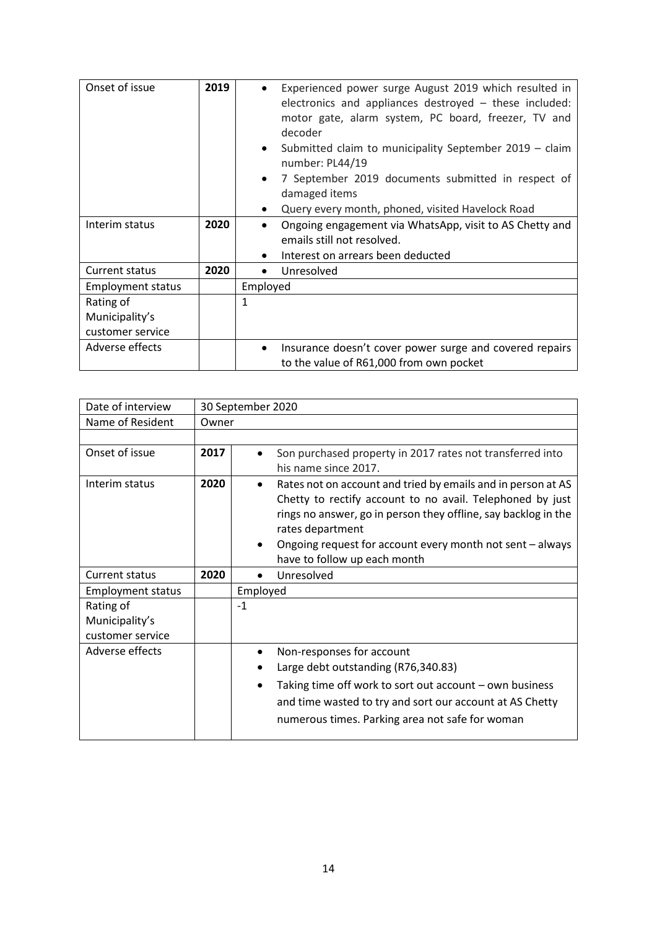| Onset of issue                                  | 2019 | Experienced power surge August 2019 which resulted in<br>electronics and appliances destroyed - these included:<br>motor gate, alarm system, PC board, freezer, TV and<br>decoder<br>Submitted claim to municipality September 2019 - claim<br>$\bullet$<br>number: PL44/19 |
|-------------------------------------------------|------|-----------------------------------------------------------------------------------------------------------------------------------------------------------------------------------------------------------------------------------------------------------------------------|
|                                                 |      | 7 September 2019 documents submitted in respect of<br>$\bullet$<br>damaged items<br>Query every month, phoned, visited Havelock Road                                                                                                                                        |
| Interim status                                  | 2020 | Ongoing engagement via WhatsApp, visit to AS Chetty and<br>$\bullet$<br>emails still not resolved.<br>Interest on arrears been deducted                                                                                                                                     |
| <b>Current status</b>                           | 2020 | Unresolved                                                                                                                                                                                                                                                                  |
| <b>Employment status</b>                        |      | Employed                                                                                                                                                                                                                                                                    |
| Rating of<br>Municipality's<br>customer service |      | 1                                                                                                                                                                                                                                                                           |
| Adverse effects                                 |      | Insurance doesn't cover power surge and covered repairs<br>to the value of R61,000 from own pocket                                                                                                                                                                          |

| Date of interview                               |       | 30 September 2020                                                                                                                                                                                                                                                                                                         |  |
|-------------------------------------------------|-------|---------------------------------------------------------------------------------------------------------------------------------------------------------------------------------------------------------------------------------------------------------------------------------------------------------------------------|--|
| Name of Resident                                | Owner |                                                                                                                                                                                                                                                                                                                           |  |
|                                                 |       |                                                                                                                                                                                                                                                                                                                           |  |
| Onset of issue                                  | 2017  | Son purchased property in 2017 rates not transferred into<br>his name since 2017.                                                                                                                                                                                                                                         |  |
| Interim status                                  | 2020  | Rates not on account and tried by emails and in person at AS<br>Chetty to rectify account to no avail. Telephoned by just<br>rings no answer, go in person they offline, say backlog in the<br>rates department<br>Ongoing request for account every month not sent - always<br>$\bullet$<br>have to follow up each month |  |
| <b>Current status</b>                           | 2020  | Unresolved                                                                                                                                                                                                                                                                                                                |  |
| <b>Employment status</b>                        |       | Employed                                                                                                                                                                                                                                                                                                                  |  |
| Rating of<br>Municipality's<br>customer service |       | $-1$                                                                                                                                                                                                                                                                                                                      |  |
| Adverse effects                                 |       | Non-responses for account<br>Large debt outstanding (R76,340.83)<br>Taking time off work to sort out account – own business<br>and time wasted to try and sort our account at AS Chetty<br>numerous times. Parking area not safe for woman                                                                                |  |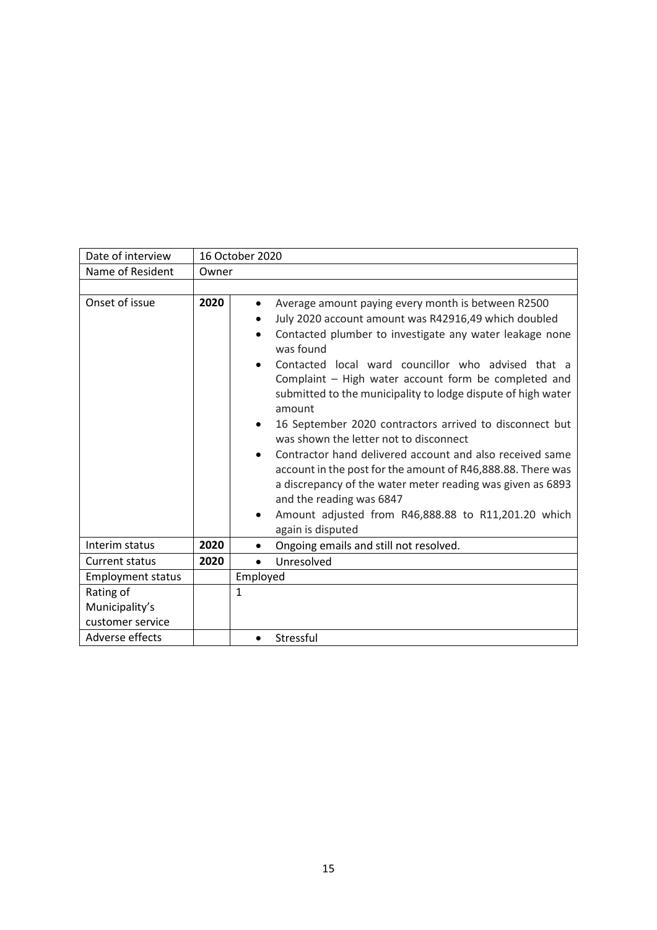| Date of interview        |       | 16 October 2020                                                                                                                                                                                                                                                                                                                                                                                                                                                                                                                                                                                                                                                                                                                                                                                                                                |  |  |  |
|--------------------------|-------|------------------------------------------------------------------------------------------------------------------------------------------------------------------------------------------------------------------------------------------------------------------------------------------------------------------------------------------------------------------------------------------------------------------------------------------------------------------------------------------------------------------------------------------------------------------------------------------------------------------------------------------------------------------------------------------------------------------------------------------------------------------------------------------------------------------------------------------------|--|--|--|
| Name of Resident         | Owner |                                                                                                                                                                                                                                                                                                                                                                                                                                                                                                                                                                                                                                                                                                                                                                                                                                                |  |  |  |
|                          |       |                                                                                                                                                                                                                                                                                                                                                                                                                                                                                                                                                                                                                                                                                                                                                                                                                                                |  |  |  |
| Onset of issue           | 2020  | Average amount paying every month is between R2500<br>٠<br>July 2020 account amount was R42916,49 which doubled<br>Contacted plumber to investigate any water leakage none<br>$\bullet$<br>was found<br>Contacted local ward councillor who advised that a<br>$\bullet$<br>Complaint - High water account form be completed and<br>submitted to the municipality to lodge dispute of high water<br>amount<br>16 September 2020 contractors arrived to disconnect but<br>$\bullet$<br>was shown the letter not to disconnect<br>Contractor hand delivered account and also received same<br>$\bullet$<br>account in the post for the amount of R46,888.88. There was<br>a discrepancy of the water meter reading was given as 6893<br>and the reading was 6847<br>Amount adjusted from R46,888.88 to R11,201.20 which<br>٠<br>again is disputed |  |  |  |
| Interim status           | 2020  | Ongoing emails and still not resolved.<br>$\bullet$                                                                                                                                                                                                                                                                                                                                                                                                                                                                                                                                                                                                                                                                                                                                                                                            |  |  |  |
| <b>Current status</b>    | 2020  | Unresolved                                                                                                                                                                                                                                                                                                                                                                                                                                                                                                                                                                                                                                                                                                                                                                                                                                     |  |  |  |
| <b>Employment status</b> |       | Employed                                                                                                                                                                                                                                                                                                                                                                                                                                                                                                                                                                                                                                                                                                                                                                                                                                       |  |  |  |
| Rating of                |       | 1                                                                                                                                                                                                                                                                                                                                                                                                                                                                                                                                                                                                                                                                                                                                                                                                                                              |  |  |  |
| Municipality's           |       |                                                                                                                                                                                                                                                                                                                                                                                                                                                                                                                                                                                                                                                                                                                                                                                                                                                |  |  |  |
| customer service         |       |                                                                                                                                                                                                                                                                                                                                                                                                                                                                                                                                                                                                                                                                                                                                                                                                                                                |  |  |  |
| Adverse effects          |       | Stressful<br>$\bullet$                                                                                                                                                                                                                                                                                                                                                                                                                                                                                                                                                                                                                                                                                                                                                                                                                         |  |  |  |